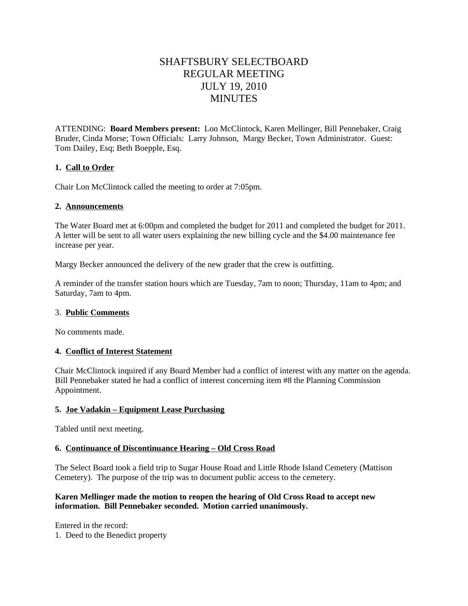# SHAFTSBURY SELECTBOARD REGULAR MEETING JULY 19, 2010 **MINUTES**

ATTENDING: **Board Members present:** Lon McClintock, Karen Mellinger, Bill Pennebaker, Craig Bruder, Cinda Morse; Town Officials: Larry Johnson,Margy Becker, Town Administrator. Guest: Tom Dailey, Esq; Beth Boepple, Esq.

## **1. Call to Order**

Chair Lon McClintock called the meeting to order at 7:05pm.

#### **2. Announcements**

The Water Board met at 6:00pm and completed the budget for 2011 and completed the budget for 2011. A letter will be sent to all water users explaining the new billing cycle and the \$4.00 maintenance fee increase per year.

Margy Becker announced the delivery of the new grader that the crew is outfitting.

A reminder of the transfer station hours which are Tuesday, 7am to noon; Thursday, 11am to 4pm; and Saturday, 7am to 4pm.

#### 3. **Public Comments**

No comments made.

## **4. Conflict of Interest Statement**

Chair McClintock inquired if any Board Member had a conflict of interest with any matter on the agenda. Bill Pennebaker stated he had a conflict of interest concerning item #8 the Planning Commission Appointment.

#### **5. Joe Vadakin – Equipment Lease Purchasing**

Tabled until next meeting.

## **6. Continuance of Discontinuance Hearing – Old Cross Road**

The Select Board took a field trip to Sugar House Road and Little Rhode Island Cemetery (Mattison Cemetery). The purpose of the trip was to document public access to the cemetery.

#### **Karen Mellinger made the motion to reopen the hearing of Old Cross Road to accept new information. Bill Pennebaker seconded. Motion carried unanimously.**

Entered in the record: 1. Deed to the Benedict property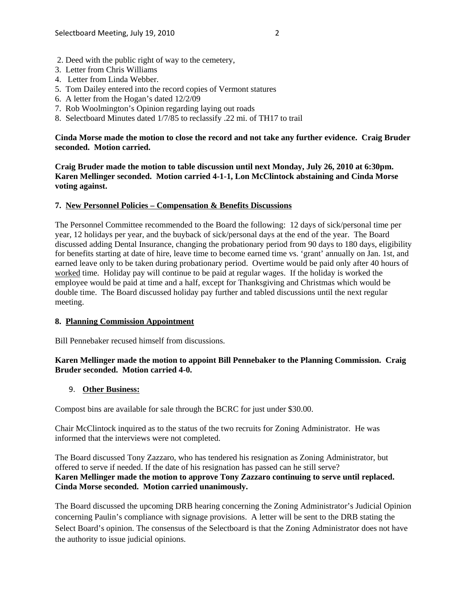- 2. Deed with the public right of way to the cemetery,
- 3. Letter from Chris Williams
- 4. Letter from Linda Webber.
- 5. Tom Dailey entered into the record copies of Vermont statures
- 6. A letter from the Hogan's dated 12/2/09
- 7. Rob Woolmington's Opinion regarding laying out roads
- 8. Selectboard Minutes dated 1/7/85 to reclassify .22 mi. of TH17 to trail

## **Cinda Morse made the motion to close the record and not take any further evidence. Craig Bruder seconded. Motion carried.**

**Craig Bruder made the motion to table discussion until next Monday, July 26, 2010 at 6:30pm. Karen Mellinger seconded. Motion carried 4-1-1, Lon McClintock abstaining and Cinda Morse voting against.**

## **7. New Personnel Policies – Compensation & Benefits Discussions**

The Personnel Committee recommended to the Board the following: 12 days of sick/personal time per year, 12 holidays per year, and the buyback of sick/personal days at the end of the year. The Board discussed adding Dental Insurance, changing the probationary period from 90 days to 180 days, eligibility for benefits starting at date of hire, leave time to become earned time vs. 'grant' annually on Jan. 1st, and earned leave only to be taken during probationary period. Overtime would be paid only after 40 hours of worked time. Holiday pay will continue to be paid at regular wages. If the holiday is worked the employee would be paid at time and a half, except for Thanksgiving and Christmas which would be double time. The Board discussed holiday pay further and tabled discussions until the next regular meeting.

## **8. Planning Commission Appointment**

Bill Pennebaker recused himself from discussions.

# **Karen Mellinger made the motion to appoint Bill Pennebaker to the Planning Commission. Craig Bruder seconded. Motion carried 4-0.**

## 9. **Other Business:**

Compost bins are available for sale through the BCRC for just under \$30.00.

Chair McClintock inquired as to the status of the two recruits for Zoning Administrator. He was informed that the interviews were not completed.

The Board discussed Tony Zazzaro, who has tendered his resignation as Zoning Administrator, but offered to serve if needed. If the date of his resignation has passed can he still serve? **Karen Mellinger made the motion to approve Tony Zazzaro continuing to serve until replaced. Cinda Morse seconded. Motion carried unanimously.** 

The Board discussed the upcoming DRB hearing concerning the Zoning Administrator's Judicial Opinion concerning Paulin's compliance with signage provisions. A letter will be sent to the DRB stating the Select Board's opinion. The consensus of the Selectboard is that the Zoning Administrator does not have the authority to issue judicial opinions.